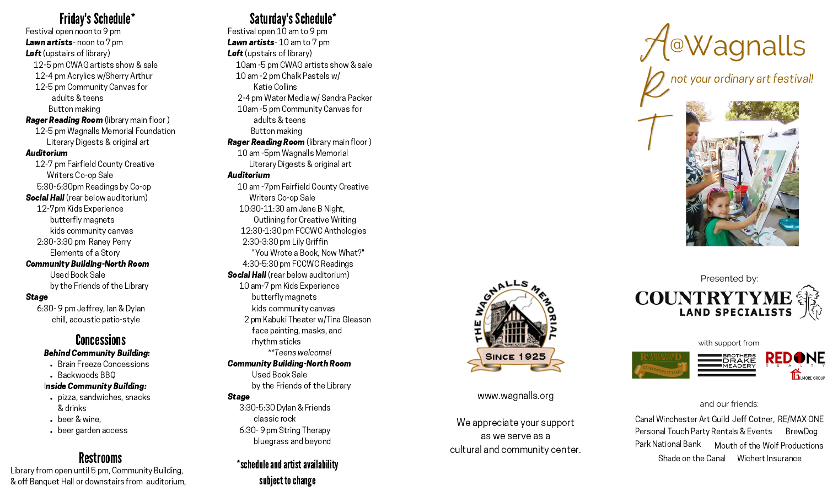Festival open noon to 9 pm Lawn artists-noon to 7 pm **Loft** (upstairs of library) 12-5 pm CWAG artists show & sale 12-4 pm Acrylics w/Sherry Arthur 12-5 pm Community Canvas for a d ult s & t e e n s Button making **Rager Reading Room** (library main floor) 12-5 pm Wagnalls Memorial Foundation Literary Digests & original art Auditorium 12-7 pm Fairfield County Creative Writers Co-op Sale 5:30-6:30pm Readings by Co-op Social Hall (rear below auditorium) 12-7pm Kids Experience butterfly magnets kids community canvas 2:30-3:30 pm Raney Perry Elements of a Story

Community Building-North Room U s e d B o o k S ale

by the Friends of the Library

### Stage

6:30 - 9 pm Jeffrey, lan & Dylan chill, acoustic patio-style

### Concessions Behind Community Building:

- Brain Freeze Concessions
- Backwoods BBQ

### Inside Community Building:

- pizza, sandwiches, snacks & d rin k s
- beer & wine.
- beer garden access

# Restrooms

tibrary from open until 5 pm, Community Building,<br>« Library from open until 5 pm, Community Building,<br>« off Banquet Hall or downstairs from auditorium.

# Saturday's Schedule\*

Festival open 10 am to 9 pm Lawn artists-10 am to 7 pm **Loft** (upstairs of library) 1 0 a m - 5 p m C W A G a r tis t s s h o w & s ale 10 am -2 pm Chalk Pastels w/ K a tie C ollin s 2-4 pm Water Media w/ Sandra Packer 10am -5 pm Community Canvas for a d ult s & t e e n s Button making **Rager Reading Room** (library main floor) 10 am - 5pm Wagnalls Memorial Literary Digests & original ar t

### Auditorium

**Friday's Schedule\* Control and Control and Control and Control and Control and Control and Control and Control and Control and Control and Control and Control and Control and Control and Control and Control and Control** 10 am - 7 pm Fairfield County Creative Writers Co-op Sale 10:30-11:30 am Jane B Night, Outlining for Creative Writin g 12:30-1:30 pm FCCWC Anthologies 2:30-3:30 pm Lily Griffin "You Wrote a Book, Now What?" 4:30-5:30 pm FCCWC Readings Social Hall (rear below auditorium) 10 am-7 pm Kids Experience butterfly magnets kids community canvas 2 pm Kabuki Theater w/Tina Gleason face painting, masks, and r h y t h m s tic k s \*\*Teens welcome! Community Building-North Room Used Book Sale by the Friends of the Library

### Stage

3:30-5:30 Dylan & Friends cla s sic r o c k 6:30 - 9 pm String Therapy bluegrass and bevond

# schedule and artist availability subject to change



www.wagnalls.org

We appreciate vour support as we serve as a cultural and community center



rt festival!



Presented by: **COUNTRYTYME**<br>LAND SPECIALISTS<br>with support from:





### a n d o u r f rie n d s:

Canal Winchester Art Guild Jeff Cotner, RE/MAX ONE Personal Touch Party Rentals & Events Shade on the Canal Wichert Insurance Park National Bank uth of the Wolf Productions **BrewDog**